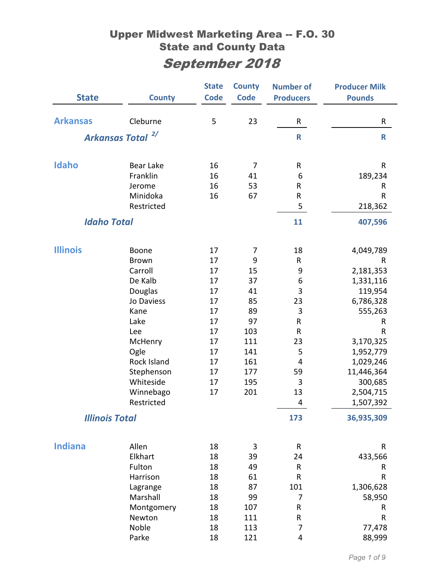| <b>State</b>          | <b>County</b>                | <b>State</b><br><b>Code</b> | <b>County</b><br><b>Code</b> | <b>Number of</b><br><b>Producers</b> | <b>Producer Milk</b><br><b>Pounds</b> |
|-----------------------|------------------------------|-----------------------------|------------------------------|--------------------------------------|---------------------------------------|
| <b>Arkansas</b>       | Cleburne                     | 5                           | 23                           | R                                    | R                                     |
|                       | Arkansas Total <sup>2/</sup> |                             |                              | $\mathsf{R}$                         | $\mathbf R$                           |
| Idaho                 | <b>Bear Lake</b>             | 16                          | 7                            | R                                    | ${\sf R}$                             |
|                       | Franklin                     | 16                          | 41                           | 6                                    | 189,234                               |
|                       | Jerome                       | 16                          | 53                           | R                                    | R                                     |
|                       | Minidoka                     | 16                          | 67                           | ${\sf R}$                            | R                                     |
|                       | Restricted                   |                             |                              | 5                                    | 218,362                               |
| <b>Idaho Total</b>    |                              |                             |                              | 11                                   | 407,596                               |
|                       |                              |                             |                              |                                      |                                       |
| <b>Illinois</b>       | Boone                        | 17                          | 7                            | 18                                   | 4,049,789                             |
|                       | <b>Brown</b>                 | 17                          | 9                            | R                                    | R                                     |
|                       | Carroll                      | 17                          | 15                           | 9                                    | 2,181,353                             |
|                       | De Kalb                      | 17                          | 37                           | 6                                    | 1,331,116                             |
|                       | Douglas                      | 17                          | 41                           | 3                                    | 119,954                               |
|                       | Jo Daviess                   | 17                          | 85                           | 23                                   | 6,786,328                             |
|                       | Kane                         | 17                          | 89                           | 3                                    | 555,263                               |
|                       | Lake                         | 17                          | 97                           | R                                    | R                                     |
|                       | Lee                          | 17                          | 103                          | ${\sf R}$                            | $\mathsf{R}$                          |
|                       | McHenry                      | 17                          | 111                          | 23                                   | 3,170,325                             |
|                       | Ogle                         | 17                          | 141                          | 5                                    | 1,952,779                             |
|                       | Rock Island                  | 17                          | 161                          | $\overline{4}$                       | 1,029,246                             |
|                       | Stephenson                   | 17                          | 177                          | 59                                   | 11,446,364                            |
|                       | Whiteside                    | 17                          | 195                          | 3                                    | 300,685                               |
|                       | Winnebago                    | 17                          | 201                          | 13                                   | 2,504,715                             |
|                       | Restricted                   |                             |                              | 4                                    | 1,507,392                             |
| <b>Illinois Total</b> |                              |                             |                              | 173                                  | 36,935,309                            |
|                       |                              |                             |                              |                                      |                                       |
| <b>Indiana</b>        | Allen<br>Elkhart             | 18<br>18                    | 3<br>39                      | ${\sf R}$<br>24                      | R                                     |
|                       | Fulton                       | 18                          | 49                           | ${\sf R}$                            | 433,566<br>R                          |
|                       | Harrison                     | 18                          | 61                           | R                                    | $\mathsf R$                           |
|                       | Lagrange                     | 18                          | 87                           | 101                                  | 1,306,628                             |
|                       | Marshall                     | 18                          | 99                           | 7                                    | 58,950                                |
|                       | Montgomery                   | 18                          | 107                          | R                                    | R                                     |
|                       | Newton                       | 18                          | 111                          | R                                    | R                                     |
|                       | Noble                        | 18                          | 113                          | 7                                    | 77,478                                |
|                       | Parke                        | 18                          | 121                          | 4                                    | 88,999                                |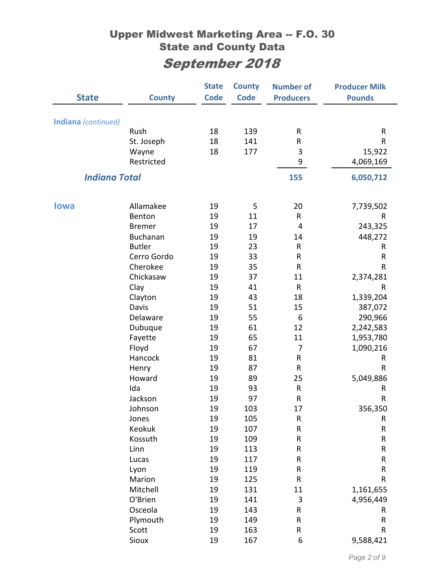|                      |                   | <b>State</b> | <b>County</b> | <b>Number of</b> | <b>Producer Milk</b> |
|----------------------|-------------------|--------------|---------------|------------------|----------------------|
| <b>State</b>         | <b>County</b>     | <b>Code</b>  | <b>Code</b>   | <b>Producers</b> | <b>Pounds</b>        |
|                      |                   |              |               |                  |                      |
| Indiana (continued)  |                   |              |               |                  |                      |
|                      | Rush              | 18           | 139           | R                | R                    |
|                      | St. Joseph        | 18           | 141           | R                | R                    |
|                      | Wayne             | 18           | 177           | 3                | 15,922               |
|                      | Restricted        |              |               | 9                | 4,069,169            |
| <b>Indiana Total</b> |                   |              |               | 155              | 6,050,712            |
|                      |                   |              |               |                  |                      |
| <b>lowa</b>          | Allamakee         | 19           | 5             | 20               | 7,739,502            |
|                      | Benton            | 19           | 11            | R                | R                    |
|                      | <b>Bremer</b>     | 19           | 17            | 4                | 243,325              |
|                      | <b>Buchanan</b>   | 19           | 19            | 14               | 448,272              |
|                      | <b>Butler</b>     | 19           | 23            | R                | R                    |
|                      | Cerro Gordo       | 19           | 33            | ${\sf R}$        | R                    |
|                      | Cherokee          | 19           | 35            | R                | R                    |
|                      | Chickasaw         | 19           | 37            | 11               | 2,374,281            |
|                      | Clay              | 19           | 41            | $\mathsf{R}$     | R                    |
|                      | Clayton           | 19           | 43            | 18               | 1,339,204            |
|                      | Davis             | 19           | 51            | 15               | 387,072              |
|                      | Delaware          | 19           | 55            | 6                | 290,966              |
|                      | Dubuque           | 19           | 61            | 12               | 2,242,583            |
|                      | Fayette           | 19           | 65            | 11               | 1,953,780            |
|                      | Floyd             | 19           | 67            | 7                | 1,090,216            |
|                      | Hancock           | 19           | 81            | R                | R                    |
|                      | Henry             | 19           | 87            | ${\sf R}$        | R                    |
|                      | Howard            | 19           | 89            | 25               | 5,049,886            |
|                      | Ida               | 19           | 93            | R                | R                    |
|                      | Jackson           | 19           | 97            | R                | R                    |
|                      | Johnson           | 19           | 103           | 17               | 356,350              |
|                      | Jones             | 19           | 105           | ${\sf R}$        | R                    |
|                      | Keokuk            | 19           | 107           | ${\sf R}$        | R                    |
|                      | Kossuth           | 19           | 109           | R                | R                    |
|                      | Linn              | 19           | 113           | R                | ${\sf R}$            |
|                      | Lucas             | 19           | 117           | R                | ${\sf R}$            |
|                      | Lyon              | 19           | 119           | R                | R                    |
|                      | Marion            | 19           | 125           | ${\sf R}$        | R                    |
|                      | Mitchell          | 19           | 131           | 11               | 1,161,655            |
|                      | O'Brien           | 19           | 141           | $\mathbf{3}$     | 4,956,449            |
|                      | Osceola           | 19           | 143           | R                | R                    |
|                      | Plymouth<br>Scott | 19<br>19     | 149           | R<br>R           | ${\sf R}$<br>R       |
|                      | Sioux             | 19           | 163<br>167    | 6                | 9,588,421            |
|                      |                   |              |               |                  |                      |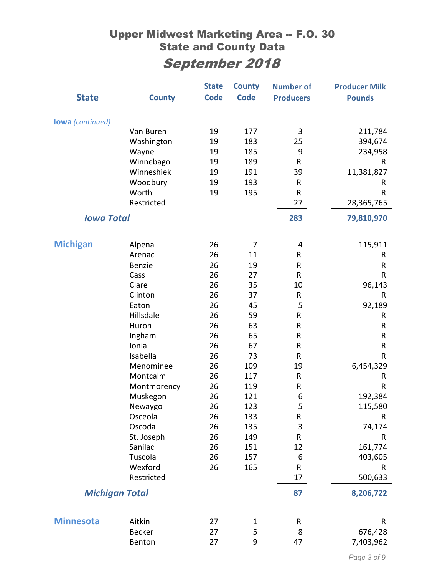|                         |               | <b>State</b> | <b>County</b> | <b>Number of</b> | <b>Producer Milk</b> |
|-------------------------|---------------|--------------|---------------|------------------|----------------------|
| <b>State</b>            | <b>County</b> | <b>Code</b>  | <b>Code</b>   | <b>Producers</b> | <b>Pounds</b>        |
|                         |               |              |               |                  |                      |
| <b>lowa</b> (continued) |               |              |               |                  |                      |
|                         | Van Buren     | 19           | 177           | 3                | 211,784              |
|                         | Washington    | 19           | 183           | 25               | 394,674              |
|                         | Wayne         | 19           | 185           | 9                | 234,958              |
|                         | Winnebago     | 19           | 189           | ${\sf R}$        | R                    |
|                         | Winneshiek    | 19           | 191           | 39               | 11,381,827           |
|                         | Woodbury      | 19           | 193           | R                | R                    |
|                         | Worth         | 19           | 195           | ${\sf R}$        | R                    |
|                         | Restricted    |              |               | 27               | 28,365,765           |
| <b>Iowa Total</b>       |               |              |               | 283              | 79,810,970           |
| <b>Michigan</b>         | Alpena        | 26           | 7             | 4                | 115,911              |
|                         | Arenac        | 26           | 11            | R                | R                    |
|                         | Benzie        | 26           | 19            | ${\sf R}$        | R                    |
|                         | Cass          | 26           | 27            | $\mathsf{R}$     | R                    |
|                         | Clare         | 26           | 35            | 10               | 96,143               |
|                         | Clinton       | 26           | 37            | $\mathsf{R}$     | R                    |
|                         | Eaton         | 26           | 45            | 5                | 92,189               |
|                         | Hillsdale     | 26           | 59            | R                | R                    |
|                         | Huron         | 26           | 63            | ${\sf R}$        | R                    |
|                         | Ingham        | 26           | 65            | ${\sf R}$        | R                    |
|                         | Ionia         | 26           | 67            | $\mathsf{R}$     | R                    |
|                         | Isabella      | 26           | 73            | R                | R                    |
|                         | Menominee     | 26           | 109           | 19               | 6,454,329            |
|                         | Montcalm      | 26           | 117           | ${\sf R}$        | R                    |
|                         | Montmorency   | 26           | 119           | R                | $\sf R$              |
|                         | Muskegon      | 26           | 121           | 6                | 192,384              |
|                         | Newaygo       | 26           | 123           | 5                | 115,580              |
|                         | Osceola       | 26           | 133           | R                | R                    |
|                         | Oscoda        | 26           | 135           | $\mathbf{3}$     | 74,174               |
|                         | St. Joseph    | 26           | 149           | ${\sf R}$        | R                    |
|                         | Sanilac       | 26           | 151           | 12               | 161,774              |
|                         | Tuscola       | 26           | 157           | 6                | 403,605              |
|                         | Wexford       | 26           | 165           | ${\sf R}$        | R                    |
|                         | Restricted    |              |               | 17               | 500,633              |
| <b>Michigan Total</b>   |               |              |               | 87               | 8,206,722            |
|                         |               |              |               |                  |                      |
| <b>Minnesota</b>        | Aitkin        | 27           | 1             | R                | R                    |
|                         | <b>Becker</b> | 27           | 5             | 8                | 676,428              |
|                         | Benton        | 27           | 9             | 47               | 7,403,962            |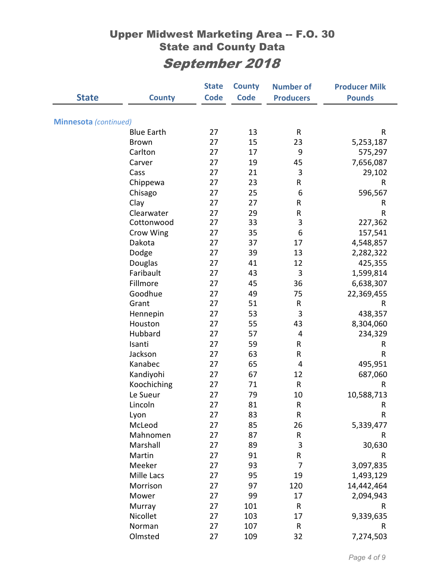|                              |                   | <b>State</b> | <b>County</b> | <b>Number of</b> | <b>Producer Milk</b> |
|------------------------------|-------------------|--------------|---------------|------------------|----------------------|
| <b>State</b>                 | <b>County</b>     | <b>Code</b>  | <b>Code</b>   | <b>Producers</b> | <b>Pounds</b>        |
|                              |                   |              |               |                  |                      |
| <b>Minnesota</b> (continued) |                   |              |               |                  |                      |
|                              | <b>Blue Earth</b> | 27           | 13            | ${\sf R}$        | $\mathsf{R}$         |
|                              | <b>Brown</b>      | 27           | 15            | 23               | 5,253,187            |
|                              | Carlton           | 27           | 17            | 9                | 575,297              |
|                              | Carver            | 27           | 19            | 45               | 7,656,087            |
|                              | Cass              | 27           | 21            | 3                | 29,102               |
|                              | Chippewa          | 27           | 23            | R                | R                    |
|                              | Chisago           | 27           | 25            | 6                | 596,567              |
|                              | Clay              | 27           | 27            | R                | R                    |
|                              | Clearwater        | 27           | 29            | R                | R                    |
|                              | Cottonwood        | 27           | 33            | 3                | 227,362              |
|                              | Crow Wing         | 27           | 35            | 6                | 157,541              |
|                              | Dakota            | 27           | 37            | 17               | 4,548,857            |
|                              | Dodge             | 27           | 39            | 13               | 2,282,322            |
|                              | Douglas           | 27           | 41            | 12               | 425,355              |
|                              | Faribault         | 27           | 43            | 3                | 1,599,814            |
|                              | Fillmore          | 27           | 45            | 36               | 6,638,307            |
|                              | Goodhue           | 27           | 49            | 75               | 22,369,455           |
|                              | Grant             | 27           | 51            | ${\sf R}$        | R                    |
|                              | Hennepin          | 27           | 53            | 3                | 438,357              |
|                              | Houston           | 27           | 55            | 43               | 8,304,060            |
|                              | Hubbard           | 27           | 57            | 4                | 234,329              |
|                              | Isanti            | 27           | 59            | R                | R                    |
|                              | Jackson           | 27           | 63            | ${\sf R}$        | R                    |
|                              | Kanabec           | 27           | 65            | 4                | 495,951              |
|                              | Kandiyohi         | 27           | 67            | 12               | 687,060              |
|                              | Koochiching       | 27           | 71            | ${\sf R}$        | R                    |
|                              | Le Sueur          | 27           | 79            | 10               | 10,588,713           |
|                              | Lincoln           | 27           | 81            | R                | R                    |
|                              | Lyon              | 27           | 83            | ${\sf R}$        | $\mathsf R$          |
|                              | McLeod            | 27           | 85            | 26               | 5,339,477            |
|                              | Mahnomen          | 27           | 87            | ${\sf R}$        | ${\sf R}$            |
|                              | Marshall          | 27           | 89            | 3                | 30,630               |
|                              | Martin            | 27           | 91            | R                | R                    |
|                              | Meeker            | 27           | 93            | 7                | 3,097,835            |
|                              | Mille Lacs        | 27           | 95            | 19               | 1,493,129            |
|                              | Morrison          | 27           | 97            | 120              | 14,442,464           |
|                              | Mower             | 27           | 99            | 17               | 2,094,943            |
|                              | Murray            | 27           | 101           | ${\sf R}$        | R                    |
|                              | Nicollet          | 27           | 103           | 17               | 9,339,635            |
|                              | Norman            | 27           | 107           | ${\sf R}$        | R                    |
|                              | Olmsted           | 27           | 109           | 32               | 7,274,503            |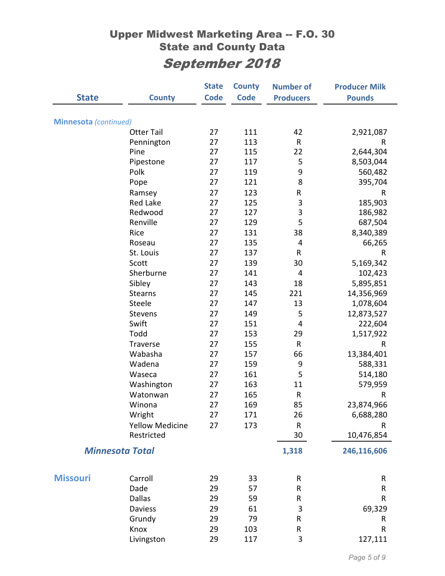|                              |                        | <b>State</b> | <b>County</b> | <b>Number of</b> | <b>Producer Milk</b> |
|------------------------------|------------------------|--------------|---------------|------------------|----------------------|
| <b>State</b>                 | <b>County</b>          | <b>Code</b>  | <b>Code</b>   | <b>Producers</b> | <b>Pounds</b>        |
|                              |                        |              |               |                  |                      |
| <b>Minnesota</b> (continued) |                        |              |               |                  |                      |
|                              | <b>Otter Tail</b>      | 27           | 111           | 42               | 2,921,087            |
|                              | Pennington             | 27           | 113           | $\mathsf{R}$     | R                    |
|                              | Pine                   | 27           | 115           | 22               | 2,644,304            |
|                              | Pipestone              | 27           | 117           | 5                | 8,503,044            |
|                              | Polk                   | 27           | 119           | 9                | 560,482              |
|                              | Pope                   | 27           | 121           | 8                | 395,704              |
|                              | Ramsey                 | 27           | 123           | R                | R                    |
|                              | Red Lake               | 27           | 125           | 3                | 185,903              |
|                              | Redwood                | 27           | 127           | 3                | 186,982              |
|                              | Renville               | 27           | 129           | 5                | 687,504              |
|                              | Rice                   | 27           | 131           | 38               | 8,340,389            |
|                              | Roseau                 | 27           | 135           | 4                | 66,265               |
|                              | St. Louis              | 27           | 137           | ${\sf R}$        | ${\sf R}$            |
|                              | Scott                  | 27           | 139           | 30               | 5,169,342            |
|                              | Sherburne              | 27           | 141           | 4                | 102,423              |
|                              | Sibley                 | 27           | 143           | 18               | 5,895,851            |
|                              | <b>Stearns</b>         | 27           | 145           | 221              | 14,356,969           |
|                              | Steele                 | 27           | 147           | 13               | 1,078,604            |
|                              | Stevens                | 27           | 149           | 5                | 12,873,527           |
|                              | Swift                  | 27           | 151           | 4                | 222,604              |
|                              | Todd                   | 27           | 153           | 29               | 1,517,922            |
|                              | Traverse               | 27           | 155           | ${\sf R}$        | R                    |
|                              | Wabasha                | 27           | 157           | 66               | 13,384,401           |
|                              | Wadena                 | 27           | 159           | 9                | 588,331              |
|                              | Waseca                 | 27           | 161           | 5                | 514,180              |
|                              | Washington             | 27           | 163           | 11               | 579,959              |
|                              | Watonwan               | 27           | 165           | ${\sf R}$        | R                    |
|                              | Winona                 | 27           | 169           | 85               | 23,874,966           |
|                              | Wright                 | 27           | 171           | 26               | 6,688,280            |
|                              | <b>Yellow Medicine</b> | 27           | 173           | $\mathsf{R}$     | R                    |
|                              | Restricted             |              |               | 30               | 10,476,854           |
|                              | <b>Minnesota Total</b> |              |               | 1,318            | 246,116,606          |
| <b>Missouri</b>              | Carroll                | 29           | 33            | R                | R                    |
|                              | Dade                   | 29           | 57            | R                | $\sf R$              |
|                              | <b>Dallas</b>          | 29           | 59            | R                | R                    |
|                              | <b>Daviess</b>         | 29           | 61            | 3                | 69,329               |
|                              | Grundy                 | 29           | 79            | R                | R                    |
|                              | Knox                   | 29           | 103           | ${\sf R}$        | $\sf R$              |
|                              | Livingston             | 29           | 117           | 3                | 127,111              |
|                              |                        |              |               |                  |                      |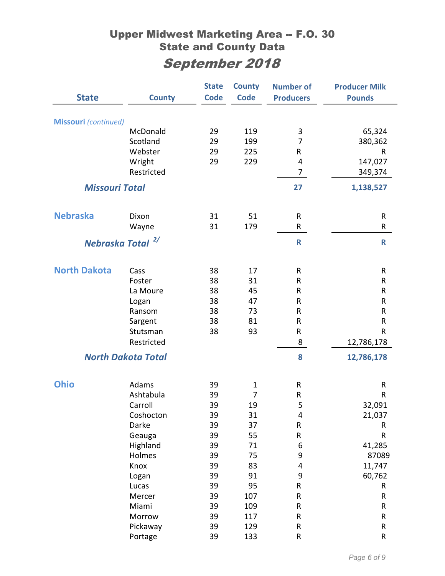|                              |                           | <b>State</b> | <b>County</b>  | <b>Number of</b>        | <b>Producer Milk</b> |
|------------------------------|---------------------------|--------------|----------------|-------------------------|----------------------|
| <b>State</b>                 | <b>County</b>             | <b>Code</b>  | <b>Code</b>    | <b>Producers</b>        | <b>Pounds</b>        |
|                              |                           |              |                |                         |                      |
| <b>Missouri</b> (continued)  |                           |              |                |                         |                      |
|                              | McDonald                  | 29           | 119            | 3                       | 65,324               |
|                              | Scotland                  | 29           | 199            | 7                       | 380,362              |
|                              | Webster                   | 29           | 225            | R                       | R                    |
|                              | Wright                    | 29           | 229            | 4                       | 147,027              |
|                              | Restricted                |              |                | 7                       | 349,374              |
| <b>Missouri Total</b>        |                           |              |                | 27                      | 1,138,527            |
| <b>Nebraska</b>              | Dixon                     | 31           | 51             | $\mathsf{R}$            | R                    |
|                              | Wayne                     | 31           | 179            | R                       | ${\sf R}$            |
|                              |                           |              |                |                         |                      |
| Nebraska Total <sup>2/</sup> |                           |              |                | $\mathsf{R}$            | $\mathbf R$          |
| <b>North Dakota</b>          | Cass                      | 38           | 17             | $\mathsf{R}$            | ${\sf R}$            |
|                              | Foster                    | 38           | 31             | R                       | $\mathsf R$          |
|                              | La Moure                  | 38           | 45             | R                       | ${\sf R}$            |
|                              | Logan                     | 38           | 47             | R                       | ${\sf R}$            |
|                              | Ransom                    | 38           | 73             | R                       | ${\sf R}$            |
|                              | Sargent                   | 38           | 81             | R                       | ${\sf R}$            |
|                              | Stutsman                  | 38           | 93             | R                       | ${\sf R}$            |
|                              | Restricted                |              |                | 8                       | 12,786,178           |
|                              | <b>North Dakota Total</b> |              |                | 8                       | 12,786,178           |
| <b>Ohio</b>                  | Adams                     | 39           | $\mathbf{1}$   | $\mathsf{R}$            | ${\sf R}$            |
|                              | Ashtabula                 | 39           | $\overline{7}$ | R                       | ${\sf R}$            |
|                              | Carroll                   | 39           | 19             | 5                       | 32,091               |
|                              | Coshocton                 | 39           | 31             | 4                       | 21,037               |
|                              | Darke                     | 39           | 37             | ${\sf R}$               | R                    |
|                              | Geauga                    | 39           | 55             | ${\sf R}$               | R                    |
|                              | Highland                  | 39           | 71             | 6                       | 41,285               |
|                              | Holmes                    | 39           | 75             | 9                       | 87089                |
|                              | Knox                      | 39           | 83             | $\overline{\mathbf{4}}$ | 11,747               |
|                              | Logan                     | 39           | 91             | 9                       | 60,762               |
|                              | Lucas                     | 39           | 95             | R                       | R                    |
|                              | Mercer                    | 39           | 107            | ${\sf R}$               | ${\sf R}$            |
|                              | Miami                     | 39           | 109            | ${\sf R}$               | ${\sf R}$            |
|                              | Morrow                    | 39           | 117            | R                       | ${\sf R}$            |
|                              | Pickaway                  | 39           | 129            | ${\sf R}$               | ${\sf R}$            |
|                              | Portage                   | 39           | 133            | ${\sf R}$               | ${\sf R}$            |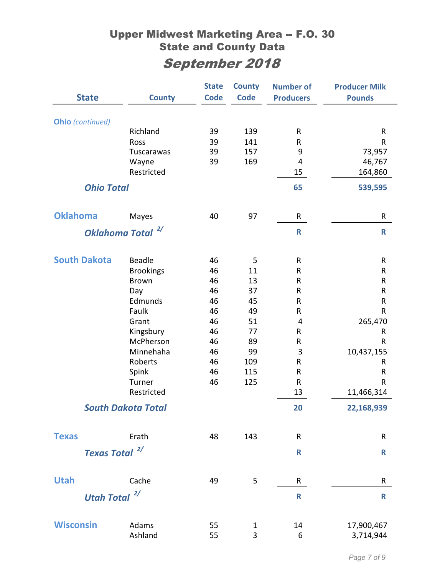|                     |                             | <b>State</b> | <b>County</b> | <b>Number of</b> | <b>Producer Milk</b> |
|---------------------|-----------------------------|--------------|---------------|------------------|----------------------|
| <b>State</b>        | <b>County</b>               | <b>Code</b>  | <b>Code</b>   | <b>Producers</b> | <b>Pounds</b>        |
|                     |                             |              |               |                  |                      |
| Ohio (continued)    | Richland                    | 39           | 139           | R                | ${\sf R}$            |
|                     | Ross                        | 39           | 141           | R                | R                    |
|                     | Tuscarawas                  | 39           | 157           | 9                | 73,957               |
|                     | Wayne                       | 39           | 169           | $\overline{4}$   | 46,767               |
|                     | Restricted                  |              |               | 15               | 164,860              |
| <b>Ohio Total</b>   |                             |              |               | 65               | 539,595              |
|                     |                             |              |               |                  |                      |
| <b>Oklahoma</b>     | Mayes                       | 40           | 97            | R                | R                    |
|                     | 2/<br><b>Oklahoma Total</b> |              |               | $\mathsf{R}$     | $\mathbf R$          |
|                     |                             |              |               |                  |                      |
| <b>South Dakota</b> | <b>Beadle</b>               | 46           | 5             | R                | R                    |
|                     | <b>Brookings</b>            | 46           | 11            | ${\sf R}$        | ${\sf R}$            |
|                     | <b>Brown</b>                | 46           | 13            | $\sf R$          | ${\sf R}$            |
|                     | Day                         | 46           | 37            | R                | ${\sf R}$            |
|                     | Edmunds                     | 46           | 45            | ${\sf R}$        | ${\sf R}$            |
|                     | Faulk                       | 46           | 49            | R                | R                    |
|                     | Grant                       | 46           | 51            | $\overline{4}$   | 265,470              |
|                     | Kingsbury                   | 46           | 77            | R                | R                    |
|                     | McPherson                   | 46           | 89            | R                | R                    |
|                     | Minnehaha                   | 46           | 99            | 3                | 10,437,155           |
|                     | Roberts                     | 46           | 109           | ${\sf R}$        | R                    |
|                     | Spink                       | 46           | 115           | $\sf R$          | R                    |
|                     | Turner                      | 46           | 125           | R                | R                    |
|                     | Restricted                  |              |               | 13               | 11,466,314           |
|                     | <b>South Dakota Total</b>   |              |               | 20               | 22,168,939           |
| <b>Texas</b>        | Erath                       | 48           | 143           | $\mathsf{R}$     | ${\sf R}$            |
| <b>Texas Total</b>  | 2/                          |              |               | $\mathsf{R}$     | $\mathsf R$          |
|                     |                             |              |               |                  |                      |
| <b>Utah</b>         | Cache                       | 49           | 5             | R                | R                    |
| Utah Total $^{2/}$  |                             |              |               | R                | $\mathbf R$          |
|                     |                             |              |               |                  |                      |
| <b>Wisconsin</b>    | Adams                       | 55           | 1             | 14               | 17,900,467           |
|                     | Ashland                     | 55           | 3             | 6                | 3,714,944            |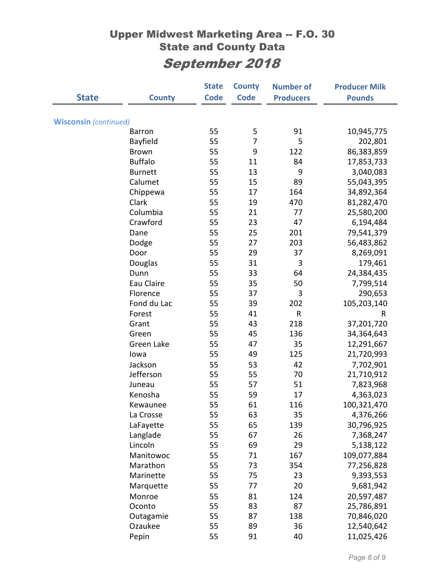|                              |                | <b>State</b> | <b>County</b>  | <b>Number of</b> | <b>Producer Milk</b> |
|------------------------------|----------------|--------------|----------------|------------------|----------------------|
| <b>State</b>                 | <b>County</b>  | <b>Code</b>  | <b>Code</b>    | <b>Producers</b> | <b>Pounds</b>        |
|                              |                |              |                |                  |                      |
| <b>Wisconsin</b> (continued) |                |              |                |                  |                      |
|                              | <b>Barron</b>  | 55           | 5              | 91               | 10,945,775           |
|                              | Bayfield       | 55           | $\overline{7}$ | 5                | 202,801              |
|                              | <b>Brown</b>   | 55           | 9              | 122              | 86,383,859           |
|                              | <b>Buffalo</b> | 55           | 11             | 84               | 17,853,733           |
|                              | <b>Burnett</b> | 55           | 13             | 9                | 3,040,083            |
|                              | Calumet        | 55           | 15             | 89               | 55,043,395           |
|                              | Chippewa       | 55           | 17             | 164              | 34,892,364           |
|                              | Clark          | 55           | 19             | 470              | 81,282,470           |
|                              | Columbia       | 55           | 21             | 77               | 25,580,200           |
|                              | Crawford       | 55           | 23             | 47               | 6,194,484            |
|                              | Dane           | 55           | 25             | 201              | 79,541,379           |
|                              | Dodge          | 55           | 27             | 203              | 56,483,862           |
|                              | Door           | 55           | 29             | 37               | 8,269,091            |
|                              | Douglas        | 55           | 31             | 3                | 179,461              |
|                              | Dunn           | 55           | 33             | 64               | 24,384,435           |
|                              | Eau Claire     | 55           | 35             | 50               | 7,799,514            |
|                              | Florence       | 55           | 37             | 3                | 290,653              |
|                              | Fond du Lac    | 55           | 39             | 202              | 105,203,140          |
|                              | Forest         | 55           | 41             | R                | R                    |
|                              | Grant          | 55           | 43             | 218              | 37,201,720           |
|                              | Green          | 55           | 45             | 136              | 34,364,643           |
|                              | Green Lake     | 55           | 47             | 35               | 12,291,667           |
|                              | lowa           | 55           | 49             | 125              | 21,720,993           |
|                              | Jackson        | 55           | 53             | 42               | 7,702,901            |
|                              | Jefferson      | 55           | 55             | 70               | 21,710,912           |
|                              | Juneau         | 55           | 57             | 51               | 7,823,968            |
|                              | Kenosha        | 55           | 59             | 17               | 4,363,023            |
|                              | Kewaunee       | 55           | 61             | 116              | 100,321,470          |
|                              | La Crosse      | 55           | 63             | 35               | 4,376,266            |
|                              | LaFayette      | 55           | 65             | 139              | 30,796,925           |
|                              | Langlade       | 55           | 67             | 26               | 7,368,247            |
|                              | Lincoln        | 55           | 69             | 29               | 5,138,122            |
|                              | Manitowoc      | 55           | 71             | 167              | 109,077,884          |
|                              | Marathon       | 55           | 73             | 354              | 77,256,828           |
|                              | Marinette      | 55           | 75             | 23               | 9,393,553            |
|                              | Marquette      | 55           | 77             | 20               | 9,681,942            |
|                              | Monroe         | 55           | 81             | 124              | 20,597,487           |
|                              | Oconto         | 55           | 83             | 87               | 25,786,891           |
|                              | Outagamie      | 55           | 87             | 138              | 70,846,020           |
|                              | Ozaukee        | 55           | 89             | 36               | 12,540,642           |
|                              | Pepin          | 55           | 91             | 40               | 11,025,426           |